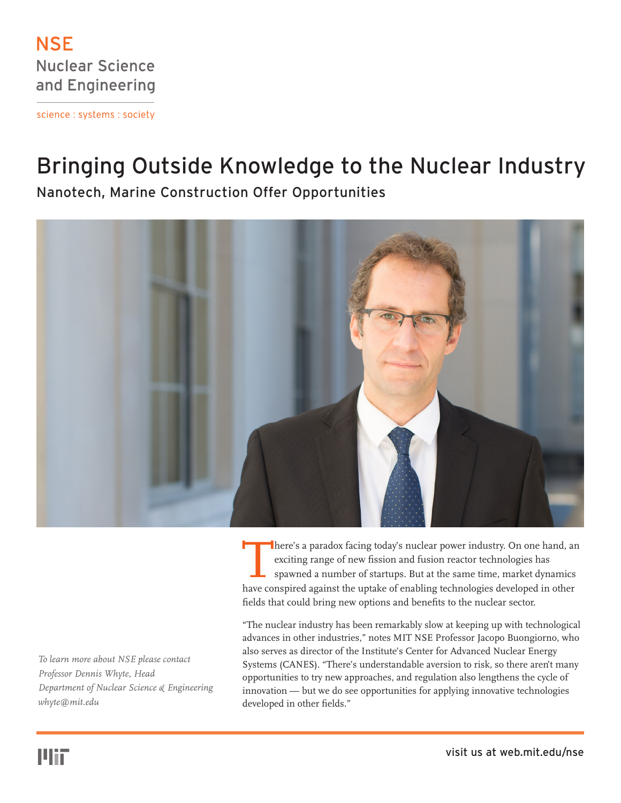

science : systems : society

## Bringing Outside Knowledge to the Nuclear Industry

Nanotech, Marine Construction Offer Opportunities



There's a paradox facing today's nuclear power industry. On one hand, an exciting range of new fission and fusion reactor technologies has spawned a number of startups. But at the same time, market dynamics have conspired exciting range of new fission and fusion reactor technologies has spawned a number of startups. But at the same time, market dynamics have conspired against the uptake of enabling technologies developed in other fields that could bring new options and benefits to the nuclear sector.

"The nuclear industry has been remarkably slow at keeping up with technological advances in other industries," notes MIT NSE Professor Jacopo Buongiorno, who also serves as director of the Institute's Center for Advanced Nuclear Energy Systems (CANES). "There's understandable aversion to risk, so there aren't many opportunities to try new approaches, and regulation also lengthens the cycle of innovation — but we do see opportunities for applying innovative technologies developed in other fields."

*To learn more about NSE please contact Professor Dennis Whyte, Head Department of Nuclear Science & Engineering whyte@mit.edu*